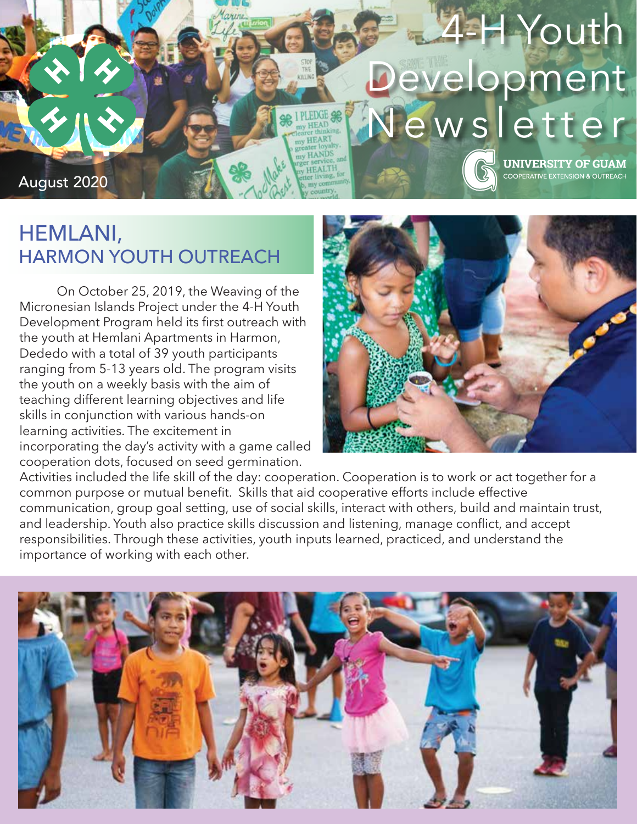

## HEMLANI, HARMON YOUTH OUTREACH

 On October 25, 2019, the Weaving of the Micronesian Islands Project under the 4-H Youth Development Program held its first outreach with the youth at Hemlani Apartments in Harmon, Dededo with a total of 39 youth participants ranging from 5-13 years old. The program visits the youth on a weekly basis with the aim of teaching different learning objectives and life skills in conjunction with various hands-on learning activities. The excitement in incorporating the day's activity with a game called cooperation dots, focused on seed germination.



Activities included the life skill of the day: cooperation. Cooperation is to work or act together for a common purpose or mutual benefit. Skills that aid cooperative efforts include effective communication, group goal setting, use of social skills, interact with others, build and maintain trust, and leadership. Youth also practice skills discussion and listening, manage conflict, and accept responsibilities. Through these activities, youth inputs learned, practiced, and understand the importance of working with each other.